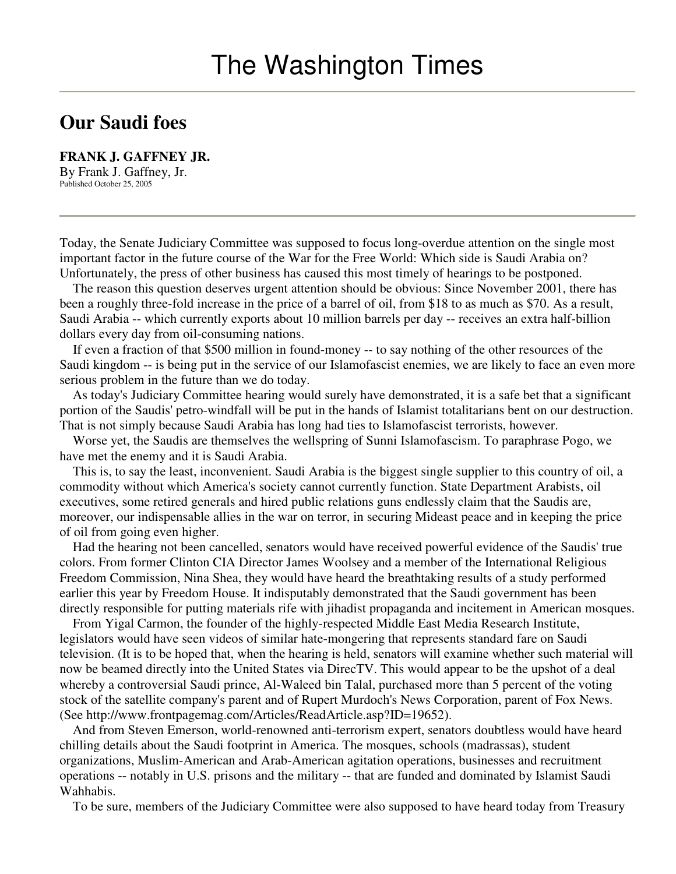## **Our Saudi foes**

**FRANK J. GAFFNEY JR.** By Frank J. Gaffney, Jr. Published October 25, 2005

Today, the Senate Judiciary Committee was supposed to focus long-overdue attention on the single most important factor in the future course of the War for the Free World: Which side is Saudi Arabia on? Unfortunately, the press of other business has caused this most timely of hearings to be postponed.

The reason this question deserves urgent attention should be obvious: Since November 2001, there has been a roughly three-fold increase in the price of a barrel of oil, from \$18 to as much as \$70. As a result, Saudi Arabia -- which currently exports about 10 million barrels per day -- receives an extra half-billion dollars every day from oil-consuming nations.

If even a fraction of that \$500 million in found-money -- to say nothing of the other resources of the Saudi kingdom -- is being put in the service of our Islamofascist enemies, we are likely to face an even more serious problem in the future than we do today.

As today's Judiciary Committee hearing would surely have demonstrated, it is a safe bet that a significant portion of the Saudis' petro-windfall will be put in the hands of Islamist totalitarians bent on our destruction. That is not simply because Saudi Arabia has long had ties to Islamofascist terrorists, however.

Worse yet, the Saudis are themselves the wellspring of Sunni Islamofascism. To paraphrase Pogo, we have met the enemy and it is Saudi Arabia.

This is, to say the least, inconvenient. Saudi Arabia is the biggest single supplier to this country of oil, a commodity without which America's society cannot currently function. State Department Arabists, oil executives, some retired generals and hired public relations guns endlessly claim that the Saudis are, moreover, our indispensable allies in the war on terror, in securing Mideast peace and in keeping the price of oil from going even higher.

Had the hearing not been cancelled, senators would have received powerful evidence of the Saudis' true colors. From former Clinton CIA Director James Woolsey and a member of the International Religious Freedom Commission, Nina Shea, they would have heard the breathtaking results of a study performed earlier this year by Freedom House. It indisputably demonstrated that the Saudi government has been directly responsible for putting materials rife with jihadist propaganda and incitement in American mosques.

From Yigal Carmon, the founder of the highly-respected Middle East Media Research Institute, legislators would have seen videos of similar hate-mongering that represents standard fare on Saudi television. (It is to be hoped that, when the hearing is held, senators will examine whether such material will now be beamed directly into the United States via DirecTV. This would appear to be the upshot of a deal whereby a controversial Saudi prince, Al-Waleed bin Talal, purchased more than 5 percent of the voting stock of the satellite company's parent and of Rupert Murdoch's News Corporation, parent of Fox News. (See http://www.frontpagemag.com/Articles/ReadArticle.asp?ID=19652).

And from Steven Emerson, world-renowned anti-terrorism expert, senators doubtless would have heard chilling details about the Saudi footprint in America. The mosques, schools (madrassas), student organizations, Muslim-American and Arab-American agitation operations, businesses and recruitment operations -- notably in U.S. prisons and the military -- that are funded and dominated by Islamist Saudi Wahhabis.

To be sure, members of the Judiciary Committee were also supposed to have heard today from Treasury